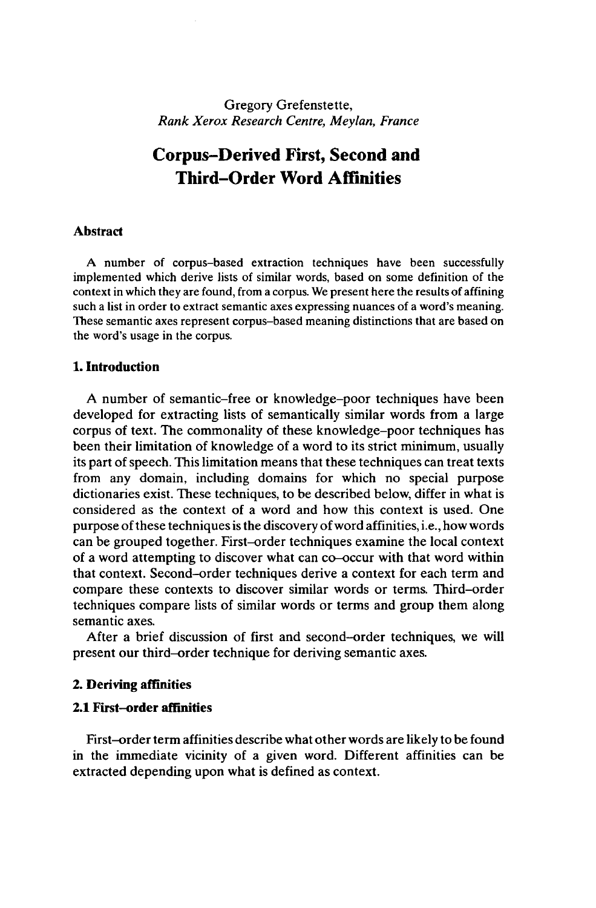Gregory Grefenstette, *Rank Xerox Research Centre, Meylan, France*

# **Corpus-Derived First, Second and Third-Order Word Affinities**

#### **Abstract**

A number of corpus-based extraction techniques have been successfully implemented which derive lists of similar words, based on some definition of the contextin which they are found, from a corpus. We present here the results of affining such a list in order to extract semantic axes expressing nuances of a word's meaning. These semantic axes represent corpus-based meaning distinctions that are based on the word's usage in the corpus.

#### **1. Introduction**

A number of semantic-free or knowledge-poor techniques have been developed for extracting lists of semantically similar words from a large corpus of text. The commonality of these knowledge-poor techniques has been their limitation of knowledge of a word to its strict minimum, usually its part of speech. This limitation means that these techniques can treat texts from any domain, including domains for which no special purpose dictionaries exist. These techniques, to be described below, differ in what is considered as the context of a word and how this context is used. One purpose of these techniques is the discovery of word affinities, *i.e.*, how words can be grouped together. First-order techniques examine the local context of a word attempting to discover what can co-occur with that word within that context. Second-order techniques derive a context for each term and compare these contexts to discover similar words or terms. Third-order techniques compare lists of similar words or terms and group them along semantic axes.

After a brief discussion of first and second-order techniques, we will present our third-order technique for deriving semantic axes.

#### **2. Deriving affinities**

#### **2.1 First-order affinities**

First-order term affinities describe what other words are likely to be found in the immediate vicinity of a given word. Different affinities can be extracted depending upon what is defined as context.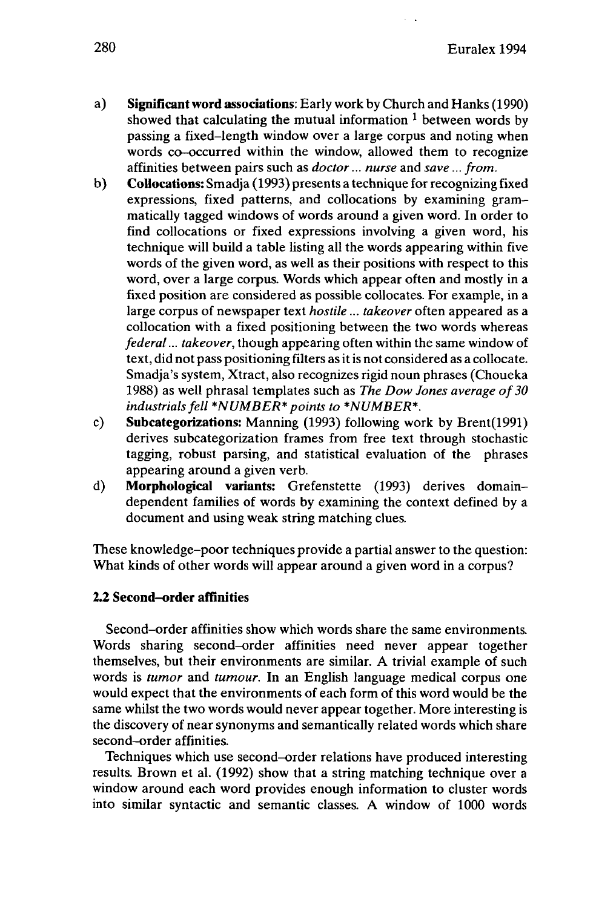- a) **Significant word associations:** Early work by Church and Hanks (1990) showed that calculating the mutual information *<sup>1</sup>* between words by passing a fixed-length window over a large corpus and noting when words co-occurred within the window, allowed them to recognize affinities between pairs such as *doctor... nurse* and *save... from.*
- b) **Collocations:** Smadja (1993) presents a technique for recognizing fixed expressions, fixed patterns, and collocations by examining grammatically tagged windows of words around a given word. In order to find collocations or fixed expressions involving a given word, his technique will build a table listing all the words appearing within five words of the given word, as well as their positions with respect to this word, over a large corpus. Words which appear often and mostly in a fixed position are considered as possible collocates. For example, in a large corpus of newspaper text *hostile... takeover* often appeared as a collocation with a fixed positioning between the two words whereas *federal... takeover,* though appearing often within the same window of text, did not pass positioning filters as it is not considered as a collocate. Smadja's system, Xtract, also recognizes rigid noun phrases (Choueka 1988) as well phrasal templates such as *The Dow Jones average of30 industrialsfell \*NUMBER\* points to \*NUMBER\*.*
- c) **Subcategorizations:** Manning (1993) following work by Brent(1991) derives subcategorization frames from free text through stochastic tagging, robust parsing, and statistical evaluation of the phrases appearing around a given verb.
- d) **Morphological variants:** Grefenstette (1993) derives domaindependent families of words by examining the context defined by a document and using weak string matching clues.

These knowledge-poor techniques provide a partial answer to the question: What kinds of other words will appear around a given word in a corpus?

# **2.2 Second-order affinities**

Second-order affinities show which words share the same environments. Words sharing second-order affinities need never appear together themselves, but their environments are similar. A trivial example of such words is *tumor* and *tumour.* In an English language medical corpus one would expect that the environments of each form of this word would be the same whilst the two words would never appear together. More interesting is the discovery of near synonyms and semantically related words which share second-order affinities.

Techniques which use second-order relations have produced interesting results. Brown et al. (1992) show that a string matching technique over a window around each word provides enough information to cluster words into similar syntactic and semantic classes. A window of 1000 words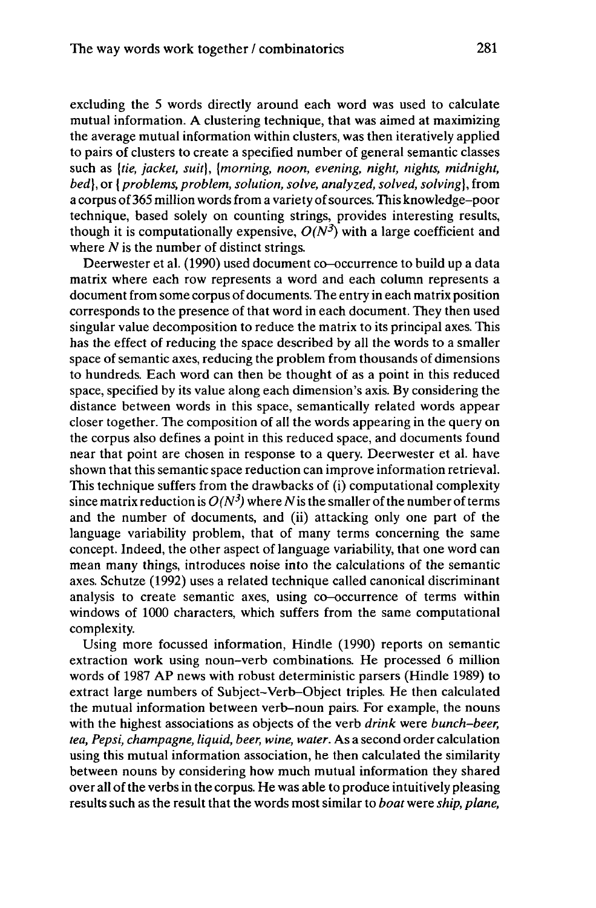excluding the 5 words directly around each word was used to calculate mutual information. A clustering technique, that was aimed at maximizing the average mutual information within clusters, was then iteratively applied to pairs of clusters to create a specified number of general semantic classes such as *[tie, jacket, suit], [morning, noon, evening, night, nights, midnight, bed],* or {*problems, problem, solution, solve, analyzed, solved, solving],* from a corpus of 365 million words from a variety of sources. This knowledge-poor technique, based solely on counting strings, provides interesting results, though it is computationally expensive,  $O(N^3)$  with a large coefficient and where *N* is the number of distinct strings.

Deerwester et al. (1990) used document co-occurrence to build up a data matrix where each row represents a word and each column represents a document from some corpus of documents. The entry in each matrix position corresponds to the presence of that word in each document. They then used singular value decomposition to reduce the matrix to its principal axes. This has the effect of reducing the space described by all the words to a smaller space of semantic axes, reducing the problem from thousands of dimensions to hundreds. Each word can then be thought of as a point in this reduced space, specified by its value along each dimension's axis. By considering the distance between words in this space, semantically related words appear closer together. The composition of all the words appearing in the query on the corpus also defines a point in this reduced space, and documents found near that point are chosen in response to a query. Deerwester et al. have shown that this semantic space reduction can improve information retrieval. This technique suffers from the drawbacks of (i) computational complexity since matrix reduction is  $O(N^3)$  where N is the smaller of the number of terms and the number of documents, and (ii) attacking only one part of the language variability problem, that of many terms concerning the same concept. Indeed, the other aspect of language variability, that one word can mean many things, introduces noise into the calculations of the semantic axes. Schutze (1992) uses a related technique called canonical discriminant analysis to create semantic axes, using co-occurrence of terms within windows of 1000 characters, which suffers from the same computational complexity.

Using more focussed information, Hindle (1990) reports on semantic extraction work using noun-verb combinations. He processed 6 million words of 1987 AP news with robust deterministic parsers (Hindle 1989) to extract large numbers of Subject-Verb-Object triples. He then calculated the mutual information between verb-noun pairs. For example, the nouns with the highest associations as objects of the verb *drink* were *bunch-beer, tea, Pepsi, champagne, liquid, beer, wine, water.* As a second order calculation using this mutual information association, he then calculated the similarity between nouns by considering how much mutual information they shared over all of the verbs in the corpus. He was able to produce intuitively pleasing results such as the result that the words most similar to *boat* were *ship*, *plane*,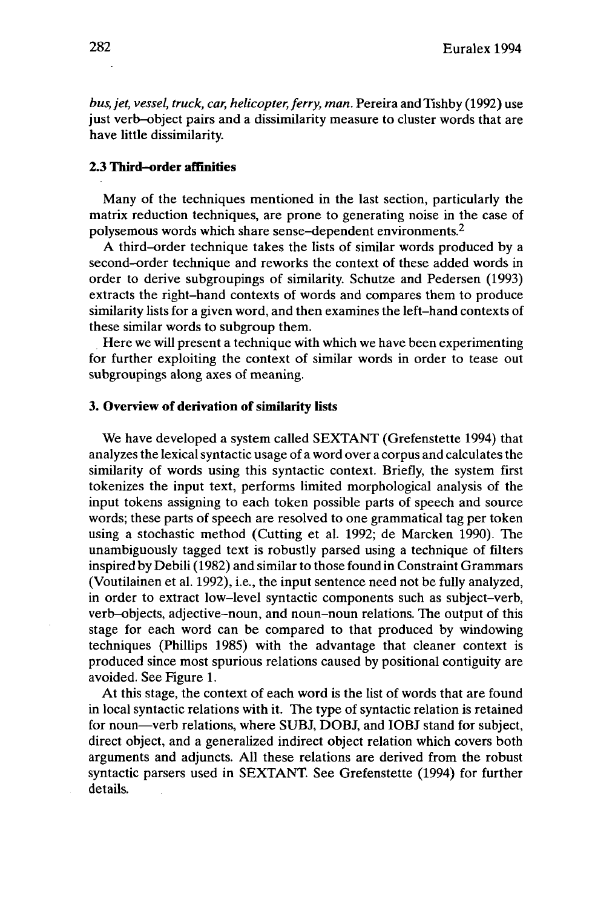*bus, jet, vessel, truck, car, helicopter, ferry, man.* Pereira and Tishby (1992) use just verb-object pairs and a dissimilarity measure to cluster words that are have little dissimilarity.

### **2.3 Third-order affinities**

Many of the techniques mentioned in the last section, particularly the matrix reduction techniques, are prone to generating noise in the case of polysemous words which share sense-dependent environments.<sup>2</sup>

A third-order technique takes the lists of similar words produced by a second-order technique and reworks the context of these added words in order to derive subgroupings of similarity. Schutze and Pedersen (1993) extracts the right-hand contexts of words and compares them to produce similarity lists for a given word, and then examines the left-hand contexts of these similar words to subgroup them.

Here we will present a technique with which we have been experimenting for further exploiting the context of similar words in order to tease out subgroupings along axes of meaning.

#### **3.** Overview of derivation of similarity lists

We have developed a system called SEXTANT (Grefenstette 1994) that analyzes the lexicalsyntactic usage of a word over a corpus and calculatesthe similarity of words using this syntactic context. Briefly, the system first tokenizes the input text, performs limited morphological analysis of the input tokens assigning to each token possible parts of speech and source words; these parts of speech are resolved to one grammatical tag per token using a stochastic method (Cutting et al. 1992; de Marcken 1990). The unambiguously tagged text is robustly parsed using a technique of filters inspired by Debili (1982) and similar to those found in Constraint Grammars (Voutilainen et al. 1992), i.e., the input sentence need not be fully analyzed, in order to extract low-level syntactic components such as subject-verb, verb-objects, adjective-noun, and noun-noun relations. The output of this stage for each word can be compared to that produced by windowing techniques (Phillips 1985) with the advantage that cleaner context is produced since most spurious relations caused by positional contiguity are avoided. See Figure 1.

At this stage, the context of each word is the list of words that are found in local syntactic relations with it. The type of syntactic relation is retained<br>for noun—verb relations, where SUBJ, DOBJ, and IOBJ stand for subject, direct object, and a generalized indirect object relation which covers both arguments and adjuncts. All these relations are derived from the robust syntactic parsers used in SEXTANT. See Grefenstette (1994) for further details.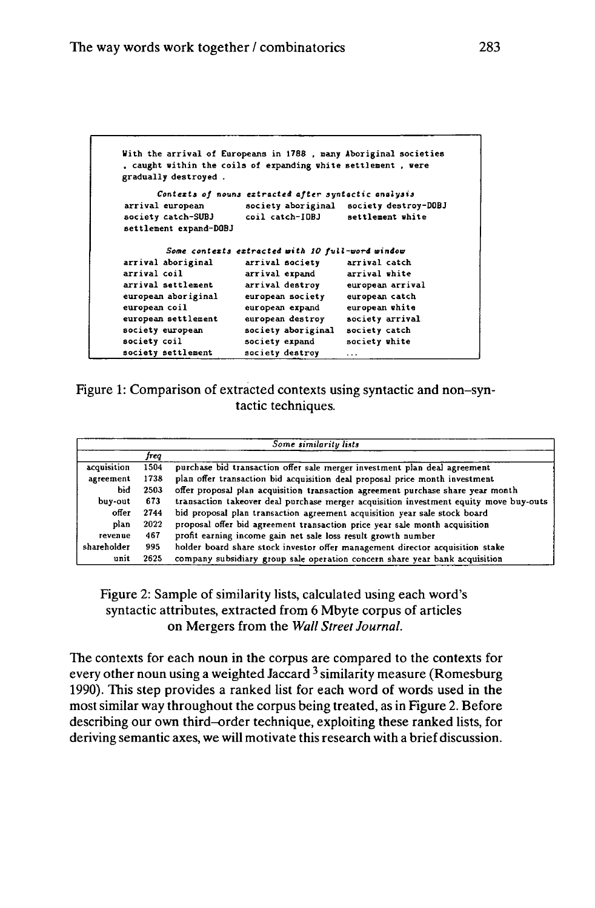| With the arrival of Europeans in 1788, many Aboriginal societies<br>gradually destroyed. | , caught within the coils of expanding white settlement, were |                                         |
|------------------------------------------------------------------------------------------|---------------------------------------------------------------|-----------------------------------------|
|                                                                                          | Contexts of nouns extracted after syntactic analysis          |                                         |
| arrival european                                                                         |                                                               | society aboriginal society destroy-DOBJ |
| society catch-SUBJ                                                                       | coil catch-IDBJ                                               | settlement white                        |
| settlement expand-DOBJ                                                                   |                                                               |                                         |
|                                                                                          | Some contexts extracted with 10 full-word window              |                                         |
| arrival aboriginal                                                                       | arrival society                                               | arrival catch                           |
| arrival coil                                                                             | arrival expand                                                | arrival white                           |
| arrival settlement                                                                       | arrival destroy                                               | european arrival                        |
| european aboriginal                                                                      | european society                                              | european catch                          |
| european coil                                                                            | european expand                                               | european white                          |
| european settlement                                                                      | european destroy                                              | society arrival                         |
| society european                                                                         | society aboriginal                                            | society catch                           |
| society coil                                                                             | society expand                                                | society white                           |
| society settlement                                                                       | society destroy                                               | $\cdots$                                |

Figure 1: Comparison of extracted contexts using syntactic and non-syntactic techniques.

| Some similarity lists |      |                                                                                       |  |
|-----------------------|------|---------------------------------------------------------------------------------------|--|
|                       | freq |                                                                                       |  |
| acquisition           | 1504 | purchase bid transaction offer sale merger investment plan deal agreement             |  |
| agreement             | 1738 | plan offer transaction bid acquisition deal proposal price month investment           |  |
| bid                   | 2503 | offer proposal plan acquisition transaction agreement purchase share year month       |  |
| buy-out               | 673  | transaction takeover deal purchase merger acquisition investment equity move buy-outs |  |
| offer                 | 2744 | bid proposal plan transaction agreement acquisition year sale stock board             |  |
| plan                  | 2022 | proposal offer bid agreement transaction price year sale month acquisition            |  |
| revenue               | 467  | profit earning income gain net sale loss result growth number                         |  |
| shareholder           | 995  | holder board share stock investor offer management director acquisition stake         |  |
| unit                  | 2625 | company subsidiary group sale operation concern share year bank acquisition           |  |

# Figure 2: Sample of similarity lists, calculated using each word's syntactic attributes, extracted from 6 Mbyte corpus of articles on Mergers from the *Wall Street Journal.*

The contexts for each noun in the corpus are compared to the contexts for every other noun using a weighted Jaccard  $^3$  similarity measure (Romesburg 1990). This step provides a ranked list for each word of words used in the most similar way throughout the corpus being treated, as in Figure 2. Before describing our own third-order technique, exploiting these ranked lists, for deriving semantic axes, we will motivate this research with a brief discussion.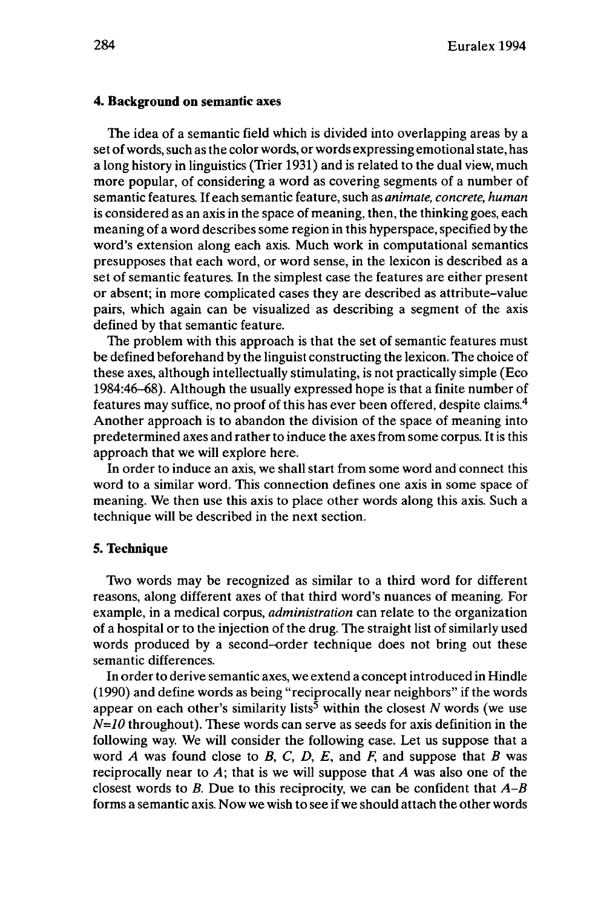#### **4. Background on semantic axes**

The idea of a semantic field which is divided into overlapping areas by a set of words, such as the color words, or words expressing emotional state, has a long history in linguistics (Trier 1931) and is related to the dual view, much more popular, of considering a word as covering segments of a number of semantic features. If each semantic feature, such as *animate, concrete, human* is considered as an axis in the space of meaning, then, the thinking goes, each meaning of a word describes some region in this hyperspace, specified by the word's extension along each axis. Much work in computational semantics presupposes that each word, or word sense, in the lexicon is described as a set of semantic features. In the simplest case the features are either present or absent; in more complicated cases they are described as attribute-value pairs, which again can be visualized as describing a segment of the axis defined by that semantic feature.

The problem with this approach is that the set of semantic features must be defined beforehand by the linguist constructing the lexicon. The choice of these axes, although intellectually stimulating, is not practically simple (Eco 1984:46-68). Although the usually expressed hope is that a finite number of features may suffice, no proof of this has ever been offered, despite claims.<sup>4</sup> Another approach is to abandon the division of the space of meaning into predetermined axes and rather to induce the axes from some corpus. It is this approach that we will explore here.

In order to induce an axis, we shall start from some word and connect this word to a similar word. This connection defines one axis in some space of meaning. We then use this axis to place other words along this axis. Such a technique will be described in the next section.

# **5. Technique**

Two words may be recognized as similar to a third word for different reasons, along different axes of that third word's nuances of meaning. For example, in a medical corpus, *administration* can relate to the organization of a hospital or to the injection of the drug. The straight list of similarly used words produced by a second-order technique does not bring out these semantic differences.

In order to derive semantic axes, we extend a conceptintroduced in Hindle (1990) and define words as being "reciprocally near neighbors" if the words appear on each other's similarity lists<sup>5</sup> within the closest  $N$  words (we use *N=10* throughout). These words can serve as seeds for axis definition in the following way. We will consider the following case. Let us suppose that a word *A* was found close to *B*, *C*, *D*, *E*, and *F*, and suppose that *B* was reciprocally near to *A;* that is we will suppose that *A* was also one of the closest words to *B.* Due to this reciprocity, we can be confident that *A-B* forms a semantic axis. Now we wish to see if we should attach the other words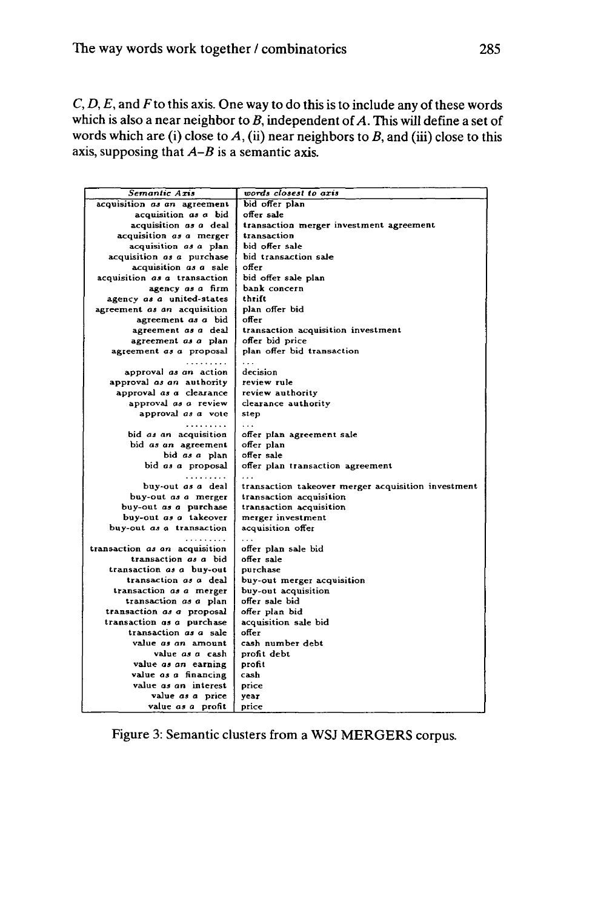C, *D, E,* and Fto this axis. One way to do this is to include any of these words which is also a near neighbor to  $B$ , independent of  $A$ . This will define a set of words which are (i) close to *A,* (ii) near neighbors to *B,* and (iii) close to this axis, supposing that  $A-B$  is a semantic axis.

| Semantic Axis                 | words closest to axis                              |
|-------------------------------|----------------------------------------------------|
| acquisition as an agreement   | bid ofter plan                                     |
| acquisition as a bid          | offer sale                                         |
| acquisition as a deal         | transaction merger investment agreement            |
| acquisition as a merger       | transaction                                        |
| acquisition as a plan         | bid offer sale                                     |
| acquisition as a purchase     | bid transaction sale                               |
| acquisition as a sale         | offer                                              |
| acquisition as a transaction  | bid offer sale plan                                |
| agency as a firm              | bank concern                                       |
| agency as a united-states     | thrift                                             |
| agreement as an acquisition   | plan offer bid                                     |
| agreement as a bid            | offer                                              |
| agreement as a deal           | transaction acquisition investment                 |
| agreement as a plan           | offer bid price                                    |
| agreement as a proposal       | plan offer bid transaction                         |
| .                             | $\sim$                                             |
| approval as an action         | decision                                           |
| approval as an authority      | review rule                                        |
| approval as a clearance       | review authority                                   |
| approval as a review          | clearance authority                                |
| approval as a vote            | step                                               |
| .                             | $\cdots$                                           |
| bid as an acquisition         | offer plan agreement sale                          |
| bid as an agreement           | offer plan                                         |
| bid as a plan                 | offer sale                                         |
| bid as a proposal             | offer plan transaction agreement                   |
| .                             |                                                    |
| buy-out as a deal             | transaction takeover merger acquisition investment |
| buy-out as a merger           | transaction acquisition                            |
| buy-out as a purchase         | transaction acquisition                            |
| buy-out as a takeover         | merger investment                                  |
| buy-out as a transaction      | acquisition offer                                  |
|                               |                                                    |
| transaction as an acquisition | offer plan sale bid                                |
| transaction as a bid          | offer sale                                         |
| transaction as a buy-out      | purchase                                           |
| transaction as a deal         | buy-out merger acquisition                         |
| transaction as a merger       | buy-out acquisition                                |
| transaction as a plan         | offer sale bid                                     |
| transaction as a proposal     | offer plan bid                                     |
| transaction as a purchase     | acquisition sale bid                               |
| transaction as a sale         | offer                                              |
| value as an amount            | cash number debt                                   |
| value as a cash               | profit debt                                        |
| value as an earning           | profit                                             |
| value as a financing          | cash                                               |
| value as an interest          | price                                              |
| value as a price              | vear                                               |
| value as a profit             | price                                              |

Figure 3: Semantic clusters from a WSJ MERGERS corpus.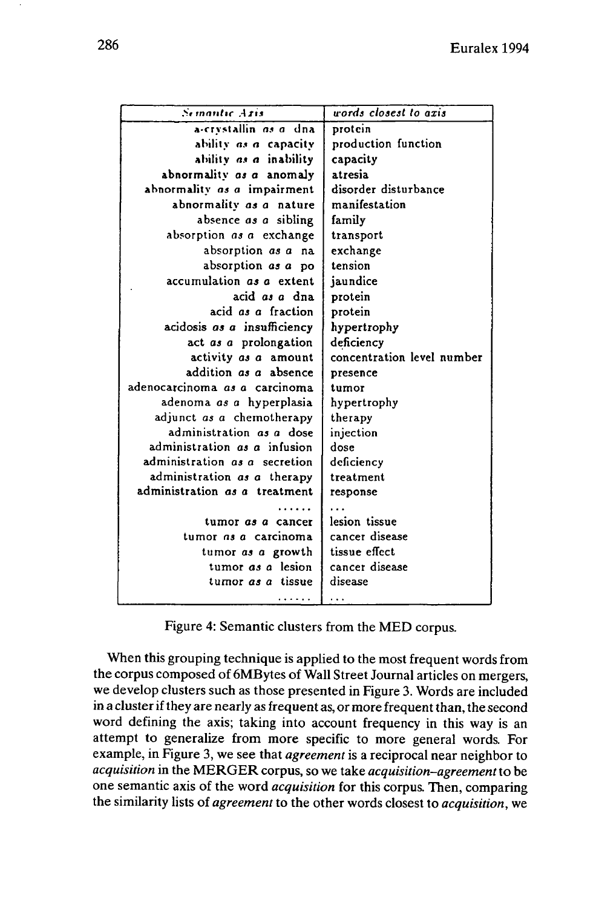| <b>Semantic Aris</b>            | words closest to axis      |
|---------------------------------|----------------------------|
| a-crystallin <i>as a</i> dna    | protein                    |
| ability as a capacity           | production function        |
| ability as a inability          | capacity                   |
| abnormality as a anomaly        | atresia                    |
| abnormality as a impairment     | disorder disturbance       |
| abnormality as a nature         | manifestation              |
| absence as a sibling            | family                     |
| absorption as a exchange        | transport                  |
| absorption <i>as a</i> na       | exchange                   |
| absorption as a po              | tension                    |
| accumulation as a extent        | jaundice                   |
| acid as a dna                   | protein                    |
| acid as a fraction              | protein                    |
| acidosis as a insufficiency     | hypertrophy                |
| act as a prolongation           | deficiency                 |
| activity as a amount            | concentration level number |
| addition as a absence           | presence                   |
| adenocarcinoma as a carcinoma   | tumor                      |
| adenoma <i>as a</i> hyperplasia | hypertrophy                |
| adjunct as a chemotherapy       | therapy                    |
| administration as a dose        | injection                  |
| administration as a infusion    | dose                       |
| administration as a secretion   | deficiency                 |
| administration as a therapy     | treatment                  |
| administration as a treatment   | response                   |
|                                 |                            |
| tumor <i>as a</i> cancer        | lesion tissue              |
| tumor as a carcinoma            | cancer disease             |
| tumor as a growth               | tissue effect              |
| tumor as a lesion               | cancer disease             |
| tumor as a tissue               | disease                    |
| .                               | .                          |

Figure 4: Semantic clusters from the MED corpus.

When this grouping technique is applied to the most frequent words from the corpus composed of 6MBytes of Wall Street Journal articles on mergers, we develop clusters such as those presented in Figure 3. Words are included in a cluster if they are nearly as frequent as, or more frequent than, the second word defining the axis; taking into account frequency in this way is an attempt to generalize from more specific to more general words. For example, in Figure 3, we see that *agreement* is a reciprocal near neighbor to *acquisition* in the MERGER corpus, so we take *acquisition-agreement*to be one semantic axis of the word *acquisition* for this corpus. Then, comparing the similarity lists of *agreement* to the other words closest to *acquisition,* we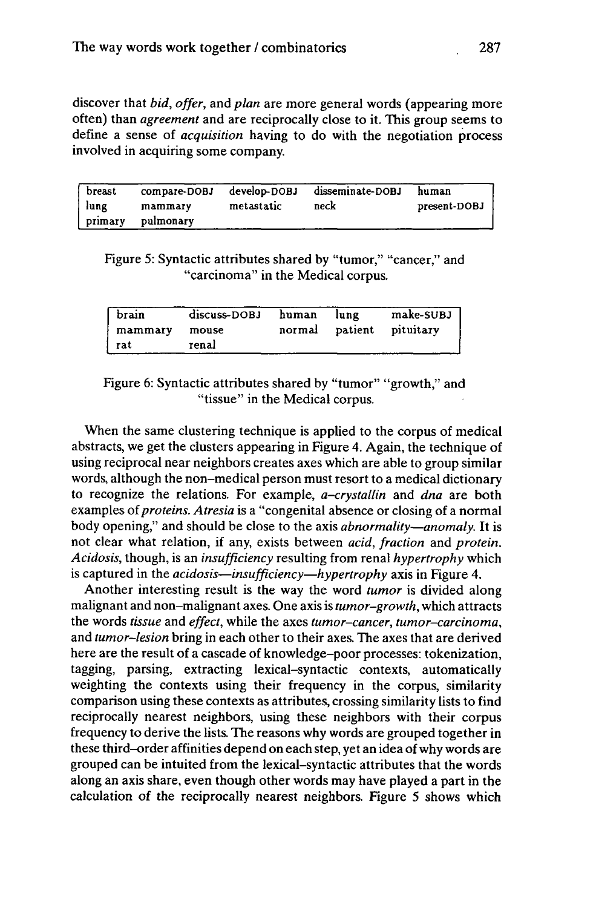discover that *bid, offer,* and *plan aie* more general words (appearing more often) than *agreement* and are reciprocally close to it. This group seems to define a sense of *acquisition* having to do with the negotiation process involved in acquiring some company.

| breast  | compare-DOBJ | develop-DOBJ | disseminate-DOBJ | human        |
|---------|--------------|--------------|------------------|--------------|
| lung    | mammary      | metastatic   | neck             | present-DOBJ |
| primary | pulmonary    |              |                  |              |

Figure 5: Syntactic attributes shared by "tumor," "cancer," and "carcinoma" in the Medical corpus.

| brain   | discuss-DOBJ | human | lung | make-SUBJ                |
|---------|--------------|-------|------|--------------------------|
| mammary | mouse        |       |      | normal patient pituitary |
| l rat   | renal        |       |      |                          |

Figure 6: Syntactic attributes shared by "tumor" "growth," and "tissue" in the Medical corpus.

When the same clustering technique is applied to the corpus of medical abstracts, we get the clusters appearing in Figure 4. Again, the technique of using reciprocal near neighbors creates axes which are able to group similar words, although the non-medical person must resort to a medical dictionary to recognize the relations. For example, *a-crystallin* and *dna* are both examples of*proteins. Atresia* is a "congenital absence or closing of a normal body opening," and should be close to the axis *abnormality*•*anomaly.* It is not clear what relation, if any, exists between *acid, fraction* and *protein. Acidosis,* though, is an *insufficiency* resulting from renal *hypertrophy* which is captured in the *acidosis*•*insufficiency*•*hypertrophy* axis in Figure 4.

Another interesting result is the way the word *tumor* is divided along malignant and non-malignant axes. One axis is *tumor-growth,* which attracts the words *tissue* and *effect,* while the axes *tumor-cancer, tumor-carcinoma,* and *tumor-lesion* bring in each other to their axes. The axes that are derived here are the result of a cascade of knowledge-poor processes: tokenization, tagging, parsing, extracting lexical-syntactic contexts, automatically weighting the contexts using their frequency in the corpus, similarity comparison using these contexts as attributes, crossing similarity lists to find reciprocally nearest neighbors, using these neighbors with their corpus frequency to derive the lists. The reasons why words are grouped together in these third-order affinities depend on each step, yet an idea ofwhy words are grouped can be intuited from the lexical-syntactic attributes that the words along an axis share, even though other words may have played a part in the calculation of the reciprocally nearest neighbors. Figure 5 shows which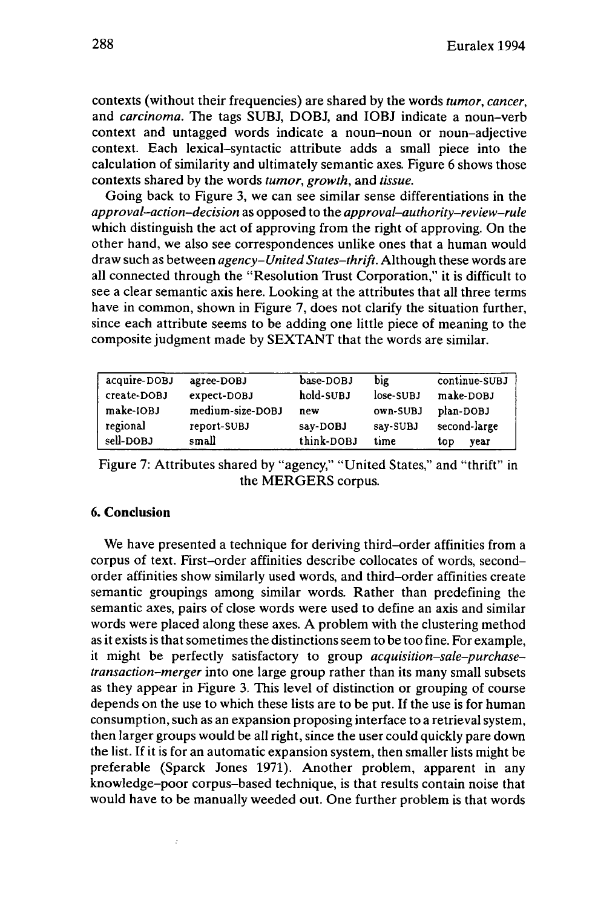contexts (without their frequencies) are shared by the words *tumor, cancer,* and *carcinoma.* The tags SUBJ, DOBJ, and IOBJ indicate a noun-verb context and untagged words indicate a noun-noun or noun-adjective context. Each lexical-syntactic attribute adds a small piece into the calculation of similarity and ultimately semantic axes. Figure 6 shows those contexts shared by the words *tumor, growth,* and *tissue.*

Going back to Figure 3, we can see similar sense differentiations in the *approval-action-decision* as opposed to the *approval-authority-review-rule* which distinguish the act of approving from the right of approving. On the other hand, we also see correspondences unlike ones that a human would draw such as between *agency-United States-thrift.* Although these words are all connected through the "Resolution Trust Corporation," it is difficult to see a clear semantic axis here. Looking at the attributes that all three terms have in common, shown in Figure 7, does not clarify the situation further, since each attribute seems to be adding one little piece of meaning to the composite judgment made by SEXTANT that the words are similar.

| acquire-DOBJ | agree-DOBJ       | base-DOBJ  | big         | continue-SUBJ |
|--------------|------------------|------------|-------------|---------------|
| create-DOBJ  | expect-DOBJ      | hold-SUBJ  | $lose-SUBJ$ | make-DOBJ     |
| make-IOBJ    | medium-size-DOBJ | new        | own-SUBJ    | plan-DOBJ     |
| regional     | report-SUBJ      | say-DOBJ   | say-SUBJ    | second-large  |
| sell-DOBJ    | small            | think-DOBJ | time        | top<br>vear   |

Figure 7: Attributes shared by "agency," "United States," and "thrift" in the MERGERS corpus.

# **6. Conclusion**

 $\boldsymbol{\cdot}$ 

We have presented a technique for deriving third-order affinities from a corpus of text. First-order affinities describe collocates of words, secondorder affinities show similarly used words, and third-order affinities create semantic groupings among similar words. Rather than predefining the semantic axes, pairs of close words were used to define an axis and similar words were placed along these axes. A problem with the clustering method as it exists is that sometimes the distinctions seem to be too fine. For example, it might be perfectly satisfactory to group *acquisition-sale-purchasetransaction-merger* into one large group rather than its many small subsets as they appear in Figure 3. This level of distinction or grouping of course depends on the use to which these lists are to be put. If the use is for human consumption, such as an expansion proposing interface to a retrieval system, then larger groups would be all right, since the user could quickly pare down the list. If it is for an automatic expansion system, then smaller lists might be preferable (Sparck Jones 1971). Another problem, apparent in any knowledge-poor corpus-based technique, is that results contain noise that would have to be manually weeded out. One further problem is that words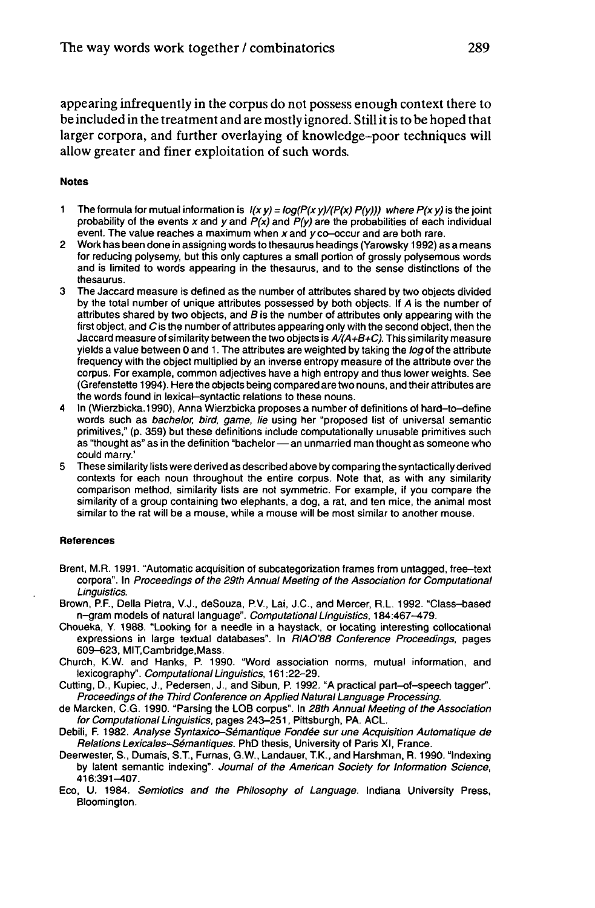appearing infrequently in the corpus do not possess enough context there to be included in the treatment and are mostly ignored. Stillitis to be hoped that larger corpora, and further overlaying of knowledge-poor techniques will allow greater and finer exploitation of such words.

#### **Notes**

- 1 The formula for mutual information is  $1(x y) = log(P(x y)/(P(x) P(y)))$  where  $P(x y)$  is the joint probability of the events x and y and  $P(x)$  and  $P(y)$  are the probabilities of each individual event. The value reaches a maximum when xand y co-occur and are both rare.
- 2 Work has been done in assigning words to thesaurus headings (Yarowsky 1992) as a means for reducing polysemy, but this only captures a small portion of grossly polysemous words and is limited to words appearing in the thesaurus, and to the sense distinctions of the thesaurus.
- The Jaccard measure is defined as the number of attributes shared by two objects divided by the total number of unique attributes possessed by both objects. If A is the number of attributes shared by two objects, and  $B$  is the number of attributes only appearing with the first object, and C is the number of attributes appearing only with the second object, then the Jaccard measure of similarity between the two objects is  $A/(A+B+C)$ . This similarity measure yields a value between 0 and 1. The attributes are weighted by taking the log of the attribute frequency with the object multiplied by an inverse entropy measure of the attribute over the corpus. For example, common adjectives have a high entropy and thus lower weights. See (Grefenstette 1994). Here the objects being compared are two nouns, and their attributes are the words found in lexical-syntactic relations to these nouns.
- 4 In (Wierzbicka.1990), Anna Wierzbicka proposes a number of definitions of hard-to-define words such as bachelor, bird, game, lie using her "proposed list of universal semantic primitives," (p. 359) but these definitions include computationally unusable primitives such words such as *bachelor, bird, game, lie* using her "proposed list of universal semantic<br>primitives," (p. 359) but these definitions include computationally unusable primitives such<br>as "thought as" as in the definition "ba could marry.'
- 5 These similarity lists were derived as described above by comparing the syntactically derived contexts for each noun throughout the entire corpus. Note that, as with any similarity comparison method, similarity lists are not symmetric. For example, if you compare the similarity of a group containing two elephants, a dog, a rat, and ten mice, the animal most similar to the rat will be a mouse, while a mouse will be most similar to another mouse.

#### **References**

- Brent, M.R. 1991. "Automatic acquisition of subcategorization frames from untagged, free-text corpora". In Proceedings of the 29th Annual Meeting of the Association for Computational Linguistics.
- Brown, P.F., Delia Pietra, V.J., deSouza, P.V., Lai, J.C., and Mercer, R.L. 1992. "Class-based n-gram models of natural language". Computational Linguistics, 184:467-479.
- Choueka, Y. 1988. "Looking for a needle in a haystack, or locating interesting collocational expressions in large textual databases". In RIAO'88 Conference Proceedings, pages 609-623, MIT.Cambridge.Mass.
- Church, K.W. and Hanks, P. 1990. "Word association norms, mutual information, and lexicography". Computational Linguistics, 161:22-29.
- Cutting, D., Kupiec, J., Pedersen, J., and Sibun, P. 1992. "A practical part-of-speech tagger". Proceedings of the Third Conference on Applied Natural Language Processing.
- de Marcken, C.G. 1990. "Parsing the LOB corpus". In 28th Annual Meeting of the Association for Computational Linguistics, pages 243-251, Pittsburgh, PA. ACL.
- Debili, F. 1982. Analyse Syntaxico-Sémantique Fondée sur une Acquisition Automatique de Relations Lexicales-Sémantiques. PhD thesis, University of Paris XI, France.
- Deerwester, S., Dumais, ST., Fumas, G.W., Landauer, T.K., and Harshman, R. 1990. "Indexing by latent semantic indexing". Journal of the American Society for Information Science, 416:391-407.
- Eco, U. 1984. Semiotics and the Philosophy of Language. Indiana University Press, Bloomington.